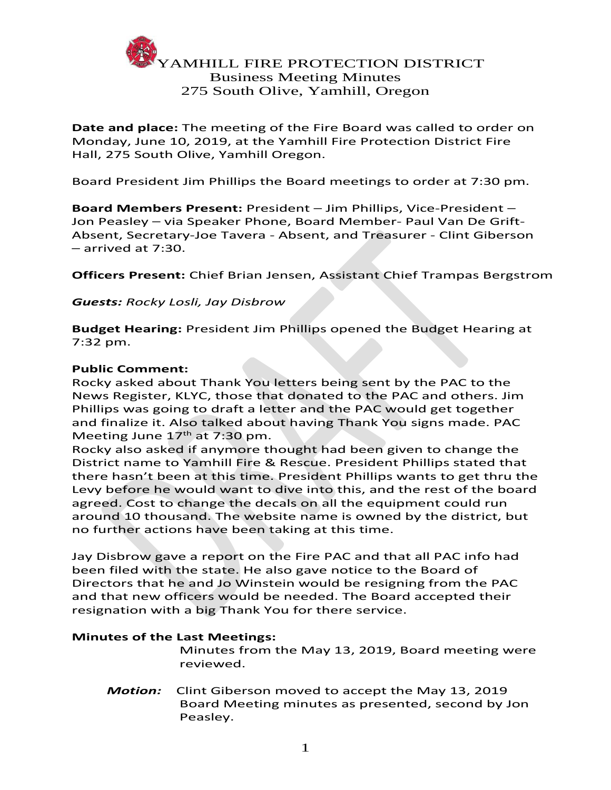

**Date and place:** The meeting of the Fire Board was called to order on Monday, June 10, 2019, at the Yamhill Fire Protection District Fire Hall, 275 South Olive, Yamhill Oregon.

Board President Jim Phillips the Board meetings to order at 7:30 pm.

**Board Members Present:** President – Jim Phillips, Vice-President – Jon Peasley – via Speaker Phone, Board Member- Paul Van De Grift-Absent, Secretary-Joe Tavera - Absent, and Treasurer - Clint Giberson – arrived at 7:30.

**Officers Present:** Chief Brian Jensen, Assistant Chief Trampas Bergstrom

#### *Guests: Rocky Losli, Jay Disbrow*

**Budget Hearing:** President Jim Phillips opened the Budget Hearing at 7:32 pm.

#### **Public Comment:**

Rocky asked about Thank You letters being sent by the PAC to the News Register, KLYC, those that donated to the PAC and others. Jim Phillips was going to draft a letter and the PAC would get together and finalize it. Also talked about having Thank You signs made. PAC Meeting June  $17<sup>th</sup>$  at 7:30 pm.

Rocky also asked if anymore thought had been given to change the District name to Yamhill Fire & Rescue. President Phillips stated that there hasn't been at this time. President Phillips wants to get thru the Levy before he would want to dive into this, and the rest of the board agreed. Cost to change the decals on all the equipment could run around 10 thousand. The website name is owned by the district, but no further actions have been taking at this time.

Jay Disbrow gave a report on the Fire PAC and that all PAC info had been filed with the state. He also gave notice to the Board of Directors that he and Jo Winstein would be resigning from the PAC and that new officers would be needed. The Board accepted their resignation with a big Thank You for there service.

#### **Minutes of the Last Meetings:**

Minutes from the May 13, 2019, Board meeting were reviewed.

*Motion:* Clint Giberson moved to accept the May 13, 2019 Board Meeting minutes as presented, second by Jon Peasley.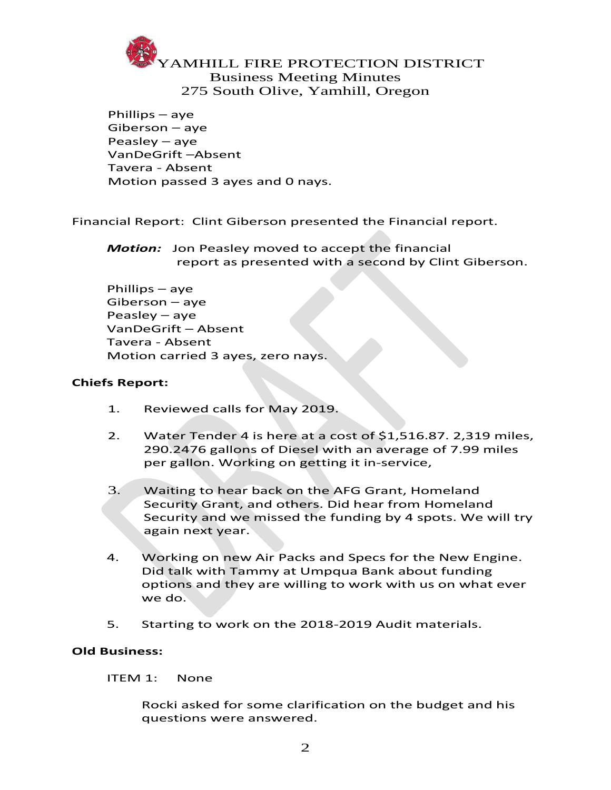# AMHILL FIRE PROTECTION DISTRICT Business Meeting Minutes 275 South Olive, Yamhill, Oregon

Phillips – aye Giberson – aye Peasley – aye VanDeGrift –Absent Tavera - Absent Motion passed 3 ayes and 0 nays.

Financial Report: Clint Giberson presented the Financial report.

*Motion:* Jon Peasley moved to accept the financial report as presented with a second by Clint Giberson.

Phillips – aye Giberson – aye Peasley – aye VanDeGrift – Absent Tavera - Absent Motion carried 3 ayes, zero nays.

# **Chiefs Report:**

- 1. Reviewed calls for May 2019.
- 2. Water Tender 4 is here at a cost of \$1,516.87. 2,319 miles, 290.2476 gallons of Diesel with an average of 7.99 miles per gallon. Working on getting it in-service,
- 3. Waiting to hear back on the AFG Grant, Homeland Security Grant, and others. Did hear from Homeland Security and we missed the funding by 4 spots. We will try again next year.
- 4. Working on new Air Packs and Specs for the New Engine. Did talk with Tammy at Umpqua Bank about funding options and they are willing to work with us on what ever we do.
- 5. Starting to work on the 2018-2019 Audit materials.

# **Old Business:**

ITEM 1: None

Rocki asked for some clarification on the budget and his questions were answered.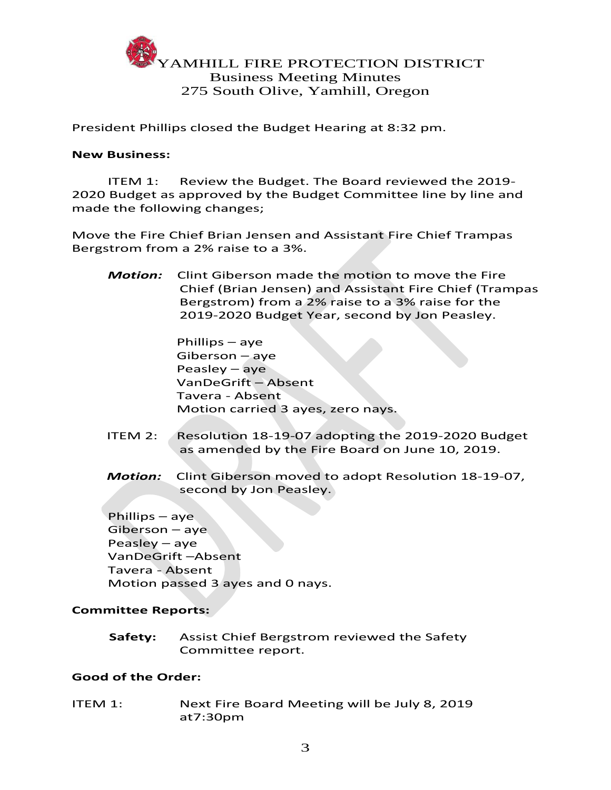

President Phillips closed the Budget Hearing at 8:32 pm.

#### **New Business:**

ITEM 1: Review the Budget. The Board reviewed the 2019- 2020 Budget as approved by the Budget Committee line by line and made the following changes;

Move the Fire Chief Brian Jensen and Assistant Fire Chief Trampas Bergstrom from a 2% raise to a 3%.

*Motion:* Clint Giberson made the motion to move the Fire Chief (Brian Jensen) and Assistant Fire Chief (Trampas Bergstrom) from a 2% raise to a 3% raise for the 2019-2020 Budget Year, second by Jon Peasley.

> Phillips – aye Giberson – aye Peasley – aye VanDeGrift – Absent Tavera - Absent Motion carried 3 ayes, zero nays.

- ITEM 2: Resolution 18-19-07 adopting the 2019-2020 Budget as amended by the Fire Board on June 10, 2019.
- *Motion:* Clint Giberson moved to adopt Resolution 18-19-07, second by Jon Peasley.

Phillips – aye Giberson – aye Peasley – aye VanDeGrift –Absent Tavera - Absent Motion passed 3 ayes and 0 nays.

# **Committee Reports:**

 **Safety:** Assist Chief Bergstrom reviewed the Safety Committee report.

# **Good of the Order:**

ITEM 1: Next Fire Board Meeting will be July 8, 2019 at7:30pm